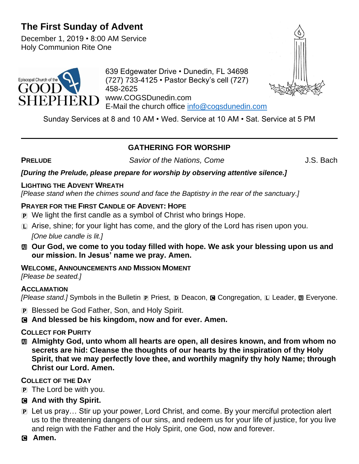# **The First Sunday of Advent**

December 1, 2019 • 8:00 AM Service Holy Communion Rite One



639 Edgewater Drive • Dunedin, FL 34698 (727) 733-4125 • Pastor Becky's cell (727) 458-2625 www.COGSDunedin.com E-Mail the church office [info@cogsdunedin.com](mailto:info@cogsdunedin.com)



Sunday Services at 8 and 10 AM • Wed. Service at 10 AM • Sat. Service at 5 PM

# **GATHERING FOR WORSHIP**

**PRELUDE** Savior of the Nations, Come J.S. Bach

*[During the Prelude, please prepare for worship by observing attentive silence.]*

#### **LIGHTING THE ADVENT WREATH**

*[Please stand when the chimes sound and face the Baptistry in the rear of the sanctuary.]*

# **PRAYER FOR THE FIRST CANDLE OF ADVENT: HOPE**

- P We light the first candle as a symbol of Christ who brings Hope.
- $\Box$  Arise, shine; for your light has come, and the glory of the Lord has risen upon you. *[One blue candle is lit.]*
- a **Our God, we come to you today filled with hope. We ask your blessing upon us and our mission. In Jesus' name we pray. Amen.**

# **WELCOME, ANNOUNCEMENTS AND MISSION MOMENT**

*[Please be seated.]*

# **ACCLAMATION**

*[Please stand.]* Symbols in the Bulletin **P** Priest, **D** Deacon, **G** Congregation, **L** Leader, **M** Everyone.

- P Blessed be God Father, Son, and Holy Spirit.
- C **And blessed be his kingdom, now and for ever. Amen.**

# **COLLECT FOR PURITY**

a **Almighty God, unto whom all hearts are open, all desires known, and from whom no secrets are hid: Cleanse the thoughts of our hearts by the inspiration of thy Holy Spirit, that we may perfectly love thee, and worthily magnify thy holy Name; through Christ our Lord. Amen.**

# **COLLECT OF THE DAY**

- P The Lord be with you.
- C **And with thy Spirit.**
- P Let us pray… Stir up your power, Lord Christ, and come. By your merciful protection alert us to the threatening dangers of our sins, and redeem us for your life of justice, for you live and reign with the Father and the Holy Spirit, one God, now and forever.
- C **Amen.**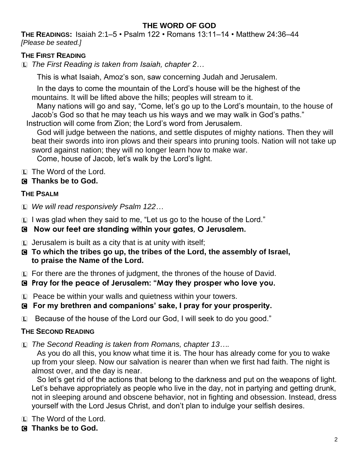# **THE WORD OF GOD**

**THE READINGS:** Isaiah 2:1–5 • Psalm 122 • Romans 13:11–14 • Matthew 24:36–44 *[Please be seated.]*

### **THE FIRST READING**

L *The First Reading is taken from Isaiah, chapter 2…*

This is what Isaiah, Amoz's son, saw concerning Judah and Jerusalem.

In the days to come the mountain of the Lord's house will be the highest of the mountains. It will be lifted above the hills; peoples will stream to it.

Many nations will go and say, "Come, let's go up to the Lord's mountain, to the house of Jacob's God so that he may teach us his ways and we may walk in God's paths."

Instruction will come from Zion; the Lord's word from Jerusalem.

God will judge between the nations, and settle disputes of mighty nations. Then they will beat their swords into iron plows and their spears into pruning tools. Nation will not take up sword against nation; they will no longer learn how to make war.

Come, house of Jacob, let's walk by the Lord's light.

L The Word of the Lord.

## C **Thanks be to God.**

## **THE PSALM**

L *We will read responsively Psalm 122…*

L I was glad when they said to me, "Let us go to the house of the Lord."

## C **Now our feet are standing within your gates, O Jerusalem.**

 $\Box$  Jerusalem is built as a city that is at unity with itself;

- C **To which the tribes go up, the tribes of the Lord, the assembly of Israel, to praise the Name of the Lord.**
- L For there are the thrones of judgment, the thrones of the house of David.
- C **Pray for the peace of Jerusalem: "May they prosper who love you.**
- L Peace be within your walls and quietness within your towers.
- C **For my brethren and companions' sake, I pray for your prosperity.**
- L Because of the house of the Lord our God, I will seek to do you good."

#### **THE SECOND READING**

L *The Second Reading is taken from Romans, chapter 13….*

As you do all this, you know what time it is. The hour has already come for you to wake up from your sleep. Now our salvation is nearer than when we first had faith. The night is almost over, and the day is near.

So let's get rid of the actions that belong to the darkness and put on the weapons of light. Let's behave appropriately as people who live in the day, not in partying and getting drunk, not in sleeping around and obscene behavior, not in fighting and obsession. Instead, dress yourself with the Lord Jesus Christ, and don't plan to indulge your selfish desires.

- L The Word of the Lord.
- C **Thanks be to God.**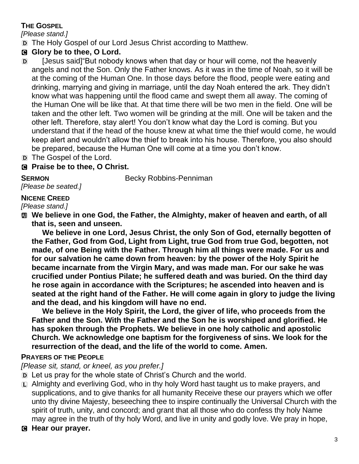# **THE GOSPEL**

*[Please stand.]*

D The Holy Gospel of our Lord Jesus Christ according to Matthew.

# G Glory be to thee, O Lord.

- D [Jesus said]"But nobody knows when that day or hour will come, not the heavenly angels and not the Son. Only the Father knows. As it was in the time of Noah, so it will be at the coming of the Human One. In those days before the flood, people were eating and drinking, marrying and giving in marriage, until the day Noah entered the ark. They didn't know what was happening until the flood came and swept them all away. The coming of the Human One will be like that. At that time there will be two men in the field. One will be taken and the other left. Two women will be grinding at the mill. One will be taken and the other left. Therefore, stay alert! You don't know what day the Lord is coming. But you understand that if the head of the house knew at what time the thief would come, he would keep alert and wouldn't allow the thief to break into his house. Therefore, you also should be prepared, because the Human One will come at a time you don't know.
- D The Gospel of the Lord.

# C **Praise be to thee, O Christ.**

**SERMON** Becky Robbins-Penniman

#### *[Please be seated.]* **NICENE CREED**

*[Please stand.]*

 $\text{M}$  **We believe in one God, the Father, the Almighty, maker of heaven and earth, of all that is, seen and unseen.** 

**We believe in one Lord, Jesus Christ, the only Son of God, eternally begotten of the Father, God from God, Light from Light, true God from true God, begotten, not made, of one Being with the Father. Through him all things were made. For us and for our salvation he came down from heaven: by the power of the Holy Spirit he became incarnate from the Virgin Mary, and was made man. For our sake he was crucified under Pontius Pilate; he suffered death and was buried. On the third day he rose again in accordance with the Scriptures; he ascended into heaven and is seated at the right hand of the Father. He will come again in glory to judge the living and the dead, and his kingdom will have no end.**

**We believe in the Holy Spirit, the Lord, the giver of life, who proceeds from the Father and the Son. With the Father and the Son he is worshiped and glorified. He has spoken through the Prophets. We believe in one holy catholic and apostolic Church. We acknowledge one baptism for the forgiveness of sins. We look for the resurrection of the dead, and the life of the world to come. Amen.**

# **PRAYERS OF THE PEOPLE**

*[Please sit, stand, or kneel, as you prefer.]*

D Let us pray for the whole state of Christ's Church and the world.

- L Almighty and everliving God, who in thy holy Word hast taught us to make prayers, and supplications, and to give thanks for all humanity Receive these our prayers which we offer unto thy divine Majesty, beseeching thee to inspire continually the Universal Church with the spirit of truth, unity, and concord; and grant that all those who do confess thy holy Name may agree in the truth of thy holy Word, and live in unity and godly love. We pray in hope,
- C **Hear our prayer.**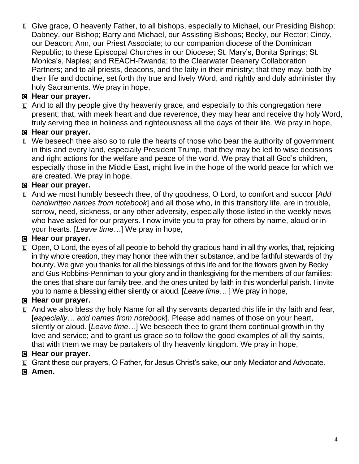L Give grace, O heavenly Father, to all bishops, especially to Michael, our Presiding Bishop; Dabney, our Bishop; Barry and Michael, our Assisting Bishops; Becky, our Rector; Cindy, our Deacon; Ann, our Priest Associate; to our companion diocese of the Dominican Republic; to these Episcopal Churches in our Diocese; St. Mary's, Bonita Springs; St. Monica's, Naples; and REACH-Rwanda; to the Clearwater Deanery Collaboration Partners; and to all priests, deacons, and the laity in their ministry; that they may, both by their life and doctrine, set forth thy true and lively Word, and rightly and duly administer thy holy Sacraments. We pray in hope,

# C **Hear our prayer.**

 $\square$  And to all thy people give thy heavenly grace, and especially to this congregation here present; that, with meek heart and due reverence, they may hear and receive thy holy Word, truly serving thee in holiness and righteousness all the days of their life. We pray in hope,

## C **Hear our prayer.**

 $E$  We beseech thee also so to rule the hearts of those who bear the authority of government in this and every land, especially President Trump, that they may be led to wise decisions and right actions for the welfare and peace of the world. We pray that all God's children, especially those in the Middle East, might live in the hope of the world peace for which we are created. We pray in hope,

# C **Hear our prayer.**

L And we most humbly beseech thee, of thy goodness, O Lord, to comfort and succor [*Add handwritten names from notebook*] and all those who, in this transitory life, are in trouble, sorrow, need, sickness, or any other adversity, especially those listed in the weekly news who have asked for our prayers. I now invite you to pray for others by name, aloud or in your hearts. [*Leave time…*] We pray in hope,

# C **Hear our prayer.**

L Open, O Lord, the eyes of all people to behold thy gracious hand in all thy works, that, rejoicing in thy whole creation, they may honor thee with their substance, and be faithful stewards of thy bounty. We give you thanks for all the blessings of this life and for the flowers given by Becky and Gus Robbins-Penniman to your glory and in thanksgiving for the members of our families: the ones that share our family tree, and the ones united by faith in this wonderful parish. I invite you to name a blessing either silently or aloud. [*Leave time…* ] We pray in hope,

#### C **Hear our prayer.**

 $\Box$  And we also bless thy holy Name for all thy servants departed this life in thy faith and fear, [*especially… add names from notebook*]. Please add names of those on your heart, silently or aloud. [*Leave time…*] We beseech thee to grant them continual growth in thy love and service; and to grant us grace so to follow the good examples of all thy saints, that with them we may be partakers of thy heavenly kingdom. We pray in hope,

#### C **Hear our prayer.**

- L Grant these our prayers, O Father, for Jesus Christ's sake, our only Mediator and Advocate.
- C **Amen.**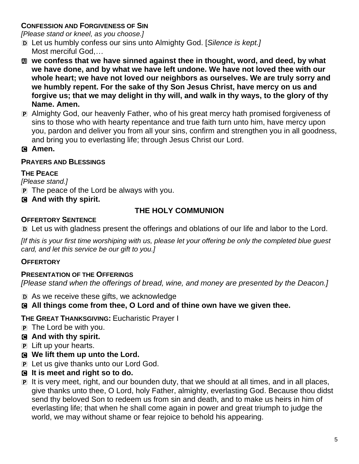## **CONFESSION AND FORGIVENESS OF SIN**

*[Please stand or kneel, as you choose.]*

- D Let us humbly confess our sins unto Almighty God. [*Silence is kept.]*  Most merciful God,*…*
- **M** we confess that we have sinned against thee in thought, word, and deed, by what **we have done, and by what we have left undone. We have not loved thee with our whole heart; we have not loved our neighbors as ourselves. We are truly sorry and we humbly repent. For the sake of thy Son Jesus Christ, have mercy on us and forgive us; that we may delight in thy will, and walk in thy ways, to the glory of thy Name. Amen.**
- P Almighty God, our heavenly Father, who of his great mercy hath promised forgiveness of sins to those who with hearty repentance and true faith turn unto him, have mercy upon you, pardon and deliver you from all your sins, confirm and strengthen you in all goodness, and bring you to everlasting life; through Jesus Christ our Lord.

#### C **Amen.**

#### **PRAYERS AND BLESSINGS**

#### **THE PEACE**

*[Please stand.]*

P The peace of the Lord be always with you.

## C **And with thy spirit.**

# **THE HOLY COMMUNION**

## **OFFERTORY SENTENCE**

D Let us with gladness present the offerings and oblations of our life and labor to the Lord.

*[If this is your first time worshiping with us, please let your offering be only the completed blue guest card, and let this service be our gift to you.]*

#### **OFFERTORY**

#### **PRESENTATION OF THE OFFERINGS**

*[Please stand when the offerings of bread, wine, and money are presented by the Deacon.]*

D As we receive these gifts, we acknowledge

# C **All things come from thee, O Lord and of thine own have we given thee.**

#### **THE GREAT THANKSGIVING:** Eucharistic Prayer I

- P The Lord be with you.
- C **And with thy spirit.**
- P Lift up your hearts.
- C **We lift them up unto the Lord.**
- P Let us give thanks unto our Lord God.
- C **It is meet and right so to do.**
- P It is very meet, right, and our bounden duty, that we should at all times, and in all places, give thanks unto thee, O Lord, holy Father, almighty, everlasting God. Because thou didst send thy beloved Son to redeem us from sin and death, and to make us heirs in him of everlasting life; that when he shall come again in power and great triumph to judge the world, we may without shame or fear rejoice to behold his appearing.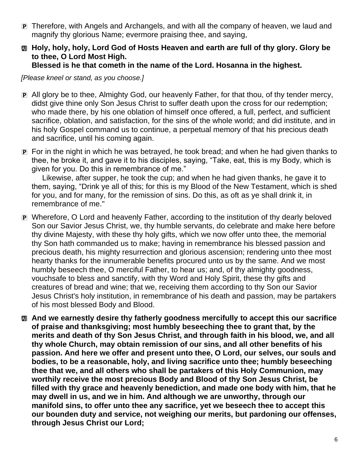P Therefore, with Angels and Archangels, and with all the company of heaven, we laud and magnify thy glorious Name; evermore praising thee, and saying,

#### a **Holy, holy, holy, Lord God of Hosts Heaven and earth are full of thy glory. Glory be to thee, O Lord Most High. Blessed is he that cometh in the name of the Lord. Hosanna in the highest.**

*[Please kneel or stand, as you choose.]*

- P All glory be to thee, Almighty God, our heavenly Father, for that thou, of thy tender mercy, didst give thine only Son Jesus Christ to suffer death upon the cross for our redemption; who made there, by his one oblation of himself once offered, a full, perfect, and sufficient sacrifice, oblation, and satisfaction, for the sins of the whole world; and did institute, and in his holy Gospel command us to continue, a perpetual memory of that his precious death and sacrifice, until his coming again.
- P For in the night in which he was betrayed, he took bread; and when he had given thanks to thee, he broke it, and gave it to his disciples, saying, "Take, eat, this is my Body, which is given for you. Do this in remembrance of me."

Likewise, after supper, he took the cup; and when he had given thanks, he gave it to them, saying, "Drink ye all of this; for this is my Blood of the New Testament, which is shed for you, and for many, for the remission of sins. Do this, as oft as ye shall drink it, in remembrance of me."

- P Wherefore, O Lord and heavenly Father, according to the institution of thy dearly beloved Son our Savior Jesus Christ, we, thy humble servants, do celebrate and make here before thy divine Majesty, with these thy holy gifts, which we now offer unto thee, the memorial thy Son hath commanded us to make; having in remembrance his blessed passion and precious death, his mighty resurrection and glorious ascension; rendering unto thee most hearty thanks for the innumerable benefits procured unto us by the same. And we most humbly beseech thee, O merciful Father, to hear us; and, of thy almighty goodness, vouchsafe to bless and sanctify, with thy Word and Holy Spirit, these thy gifts and creatures of bread and wine; that we, receiving them according to thy Son our Savior Jesus Christ's holy institution, in remembrance of his death and passion, may be partakers of his most blessed Body and Blood.
- a **And we earnestly desire thy fatherly goodness mercifully to accept this our sacrifice of praise and thanksgiving; most humbly beseeching thee to grant that, by the merits and death of thy Son Jesus Christ, and through faith in his blood, we, and all thy whole Church, may obtain remission of our sins, and all other benefits of his passion. And here we offer and present unto thee, O Lord, our selves, our souls and bodies, to be a reasonable, holy, and living sacrifice unto thee; humbly beseeching thee that we, and all others who shall be partakers of this Holy Communion, may worthily receive the most precious Body and Blood of thy Son Jesus Christ, be filled with thy grace and heavenly benediction, and made one body with him, that he may dwell in us, and we in him. And although we are unworthy, through our manifold sins, to offer unto thee any sacrifice, yet we beseech thee to accept this our bounden duty and service, not weighing our merits, but pardoning our offenses, through Jesus Christ our Lord;**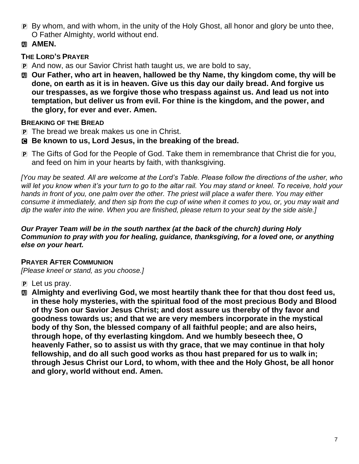- P By whom, and with whom, in the unity of the Holy Ghost, all honor and glory be unto thee, O Father Almighty, world without end.
- **M** AMEN.

## **THE LORD'S PRAYER**

- P And now, as our Savior Christ hath taught us, we are bold to say,
- a **Our Father, who art in heaven, hallowed be thy Name, thy kingdom come, thy will be done, on earth as it is in heaven. Give us this day our daily bread. And forgive us our trespasses, as we forgive those who trespass against us. And lead us not into temptation, but deliver us from evil. For thine is the kingdom, and the power, and the glory, for ever and ever. Amen.**

## **BREAKING OF THE BREAD**

- P The bread we break makes us one in Christ.
- C **Be known to us, Lord Jesus, in the breaking of the bread.**
- P The Gifts of God for the People of God. Take them in remembrance that Christ die for you, and feed on him in your hearts by faith, with thanksgiving.

*[You may be seated. All are welcome at the Lord's Table. Please follow the directions of the usher, who*  will let you know when it's your turn to go to the altar rail. You may stand or kneel. To receive, hold your hands in front of you, one palm over the other. The priest will place a wafer there. You may either *consume it immediately, and then sip from the cup of wine when it comes to you, or, you may wait and dip the wafer into the wine. When you are finished, please return to your seat by the side aisle.]*

#### *Our Prayer Team will be in the south narthex (at the back of the church) during Holy Communion to pray with you for healing, guidance, thanksgiving, for a loved one, or anything else on your heart.*

#### **PRAYER AFTER COMMUNION**

*[Please kneel or stand, as you choose.]*

- $\overline{p}$  Let us pray.
- a **Almighty and everliving God, we most heartily thank thee for that thou dost feed us, in these holy mysteries, with the spiritual food of the most precious Body and Blood of thy Son our Savior Jesus Christ; and dost assure us thereby of thy favor and goodness towards us; and that we are very members incorporate in the mystical body of thy Son, the blessed company of all faithful people; and are also heirs, through hope, of thy everlasting kingdom. And we humbly beseech thee, O heavenly Father, so to assist us with thy grace, that we may continue in that holy fellowship, and do all such good works as thou hast prepared for us to walk in; through Jesus Christ our Lord, to whom, with thee and the Holy Ghost, be all honor and glory, world without end. Amen.**